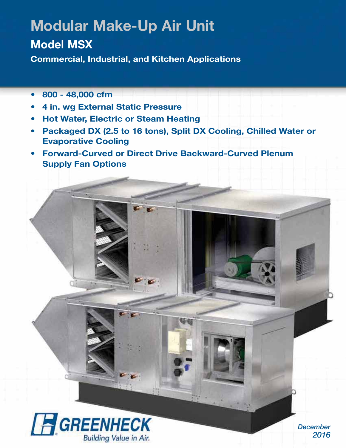# **Modular Make-Up Air Unit**

# **Model MSX**

**Commercial, Industrial, and Kitchen Applications**

- **800 48,000 cfm**
- **4 in. wg External Static Pressure**
- **Hot Water, Electric or Steam Heating**
- **Packaged DX (2.5 to 16 tons), Split DX Cooling, Chilled Water or Evaporative Cooling**
- **Forward-Curved or Direct Drive Backward-Curved Plenum Supply Fan Options**



*December 2016*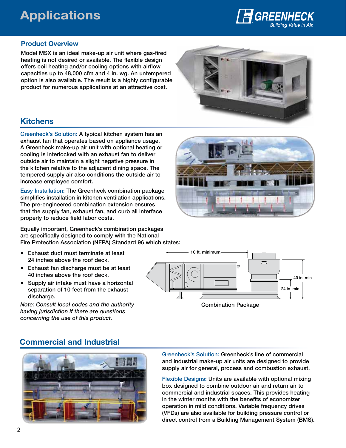# **Applications**



#### **Product Overview**

**Model MSX is an ideal make-up air unit where gas-fired heating is not desired or available. The flexible design offers coil heating and/or cooling options with airflow capacities up to 48,000 cfm and 4 in. wg. An untempered option is also available. The result is a highly configurable product for numerous applications at an attractive cost.**



## **Kitchens**

**Greenheck's Solution: A typical kitchen system has an exhaust fan that operates based on appliance usage. A Greenheck make-up air unit with optional heating or cooling is interlocked with an exhaust fan to deliver outside air to maintain a slight negative pressure in the kitchen relative to the adjacent dining space. The tempered supply air also conditions the outside air to increase employee comfort.**

**Easy Installation: The Greenheck combination package simplifies installation in kitchen ventilation applications. The pre-engineered combination extension ensures that the supply fan, exhaust fan, and curb all interface properly to reduce field labor costs.**

**Equally important, Greenheck's combination packages are specifically designed to comply with the National Fire Protection Association (NFPA) Standard 96 which states:**

- **Exhaust duct must terminate at least 24 inches above the roof deck.**
- **Exhaust fan discharge must be at least 40 inches above the roof deck.**
- **Supply air intake must have a horizontal separation of 10 feet from the exhaust discharge.**

*Note: Consult local codes and the authority having jurisdiction if there are questions concerning the use of this product.*





**Combination Package**

## **Commercial and Industrial**



**Greenheck's Solution: Greenheck's line of commercial and industrial make-up air units are designed to provide supply air for general, process and combustion exhaust.**

**Flexible Designs: Units are available with optional mixing box designed to combine outdoor air and return air to commercial and industrial spaces. This provides heating in the winter months with the benefits of economizer operation in mild conditions. Variable frequency drives (VFDs) are also available for building pressure control or direct control from a Building Management System (BMS).**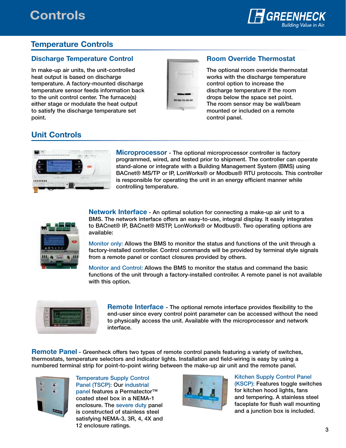# **Controls**



## **Temperature Controls**

#### **Discharge Temperature Control**

**In make-up air units, the unit-controlled heat output is based on discharge temperature. A factory-mounted discharge temperature sensor feeds information back to the unit control center. The furnace(s) either stage or modulate the heat output to satisfy the discharge temperature set point.**



#### **Room Override Thermostat**

**The optional room override thermostat works with the discharge temperature control option to increase the discharge temperature if the room drops below the space set point. The room sensor may be wall/beam mounted or included on a remote control panel.**

## **Unit Controls**



**Microprocessor - The optional microprocessor controller is factory programmed, wired, and tested prior to shipment. The controller can operate stand-alone or integrate with a Building Management System (BMS) using BACnet® MS/TP or IP, LonWorks® or Modbus® RTU protocols. This controller is responsible for operating the unit in an energy efficient manner while controlling temperature.**



**Network Interface - An optimal solution for connecting a make-up air unit to a BMS. The network interface offers an easy-to-use, integral display. It easily integrates to BACnet® IP, BACnet® MSTP, LonWorks® or Modbus®. Two operating options are available:** 

**Monitor only: Allows the BMS to monitor the status and functions of the unit through a factory-installed controller. Control commands will be provided by terminal style signals from a remote panel or contact closures provided by others.**

**Monitor and Control: Allows the BMS to monitor the status and command the basic functions of the unit through a factory-installed controller. A remote panel is not available with this option.**



**Remote Interface - The optional remote interface provides flexibility to the end-user since every control point parameter can be accessed without the need to physically access the unit. Available with the microprocessor and network interface.**

**Remote Panel - Greenheck offers two types of remote control panels featuring a variety of switches, thermostats, temperature selectors and indicator lights. Installation and field-wiring is easy by using a numbered terminal strip for point-to-point wiring between the make-up air unit and the remote panel.**



**Temperature Supply Control Panel (TSCP): Our industrial panel features a Permatector™ coated steel box in a NEMA-1 enclosure. The severe duty panel is constructed of stainless steel satisfying NEMA-3, 3R, 4, 4X and 12 enclosure ratings.**



**Kitchen Supply Control Panel (KSCP): Features toggle switches for kitchen hood lights, fans and tempering. A stainless steel faceplate for flush wall mounting and a junction box is included.**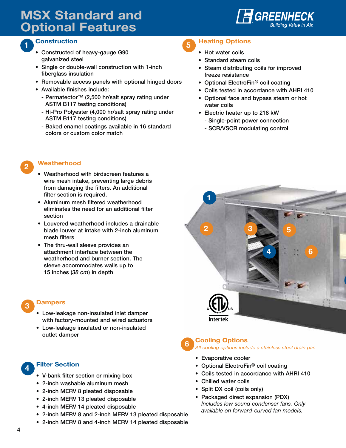# **MSX Standard and Optional Features**



#### **<sup>5</sup> Construction 1**

- **Constructed of heavy-gauge G90 galvanized steel**
- **Single or double-wall construction with 1-inch fiberglass insulation**
- **Removable access panels with optional hinged doors**
- **Available finishes include:**
	- **Permatector™ (2,500 hr/salt spray rating under ASTM B117 testing conditions)**
	- **Hi-Pro Polyester (4,000 hr/salt spray rating under ASTM B117 testing conditions)**
	- **Baked enamel coatings available in 16 standard colors or custom color match**

## **<sup>2</sup> Weatherhood**

- **Weatherhood with birdscreen features a wire mesh intake, preventing large debris from damaging the filters. An additional filter section is required.**
- **Aluminum mesh filtered weatherhood eliminates the need for an additional filter section**
- **Louvered weatherhood includes a drainable blade louver at intake with 2-inch aluminum mesh filters**
- **The thru-wall sleeve provides an attachment interface between the weatherhood and burner section. The sleeve accommodates walls up to 15 inches (***38 cm***) in depth**

#### **Dampers 3**

- **Low-leakage non-insulated inlet damper with factory-mounted and wired actuators**
- **Low-leakage insulated or non-insulated outlet damper**

## **<sup>4</sup> Filter Section**

- **V-bank filter section or mixing box**
- **2-inch washable aluminum mesh**
- **2-inch MERV 8 pleated disposable**
- **2-inch MERV 13 pleated disposable**
- **4-inch MERV 14 pleated disposable**
- **2-inch MERV 8 and 2-inch MERV 13 pleated disposable**
- **2-inch MERV 8 and 4-inch MERV 14 pleated disposable**
- **Heating Options**
	- **Hot water coils**
	- **Standard steam coils**
	- **Steam distributing coils for improved freeze resistance**
	- **Optional ElectroFin® coil coating**
	- **Coils tested in accordance with AHRI 410**
	- **Optional face and bypass steam or hot water coils**
	- **Electric heater up to 218 kW**
		- **Single-point power connection**
		- **SCR/VSCR modulating control**





#### **Cooling Options Options** All cooling options include a stainless steel drain pan

- **Evaporative cooler**
- **Optional ElectroFin® coil coating**
- **Coils tested in accordance with AHRI 410**
- **Chilled water coils**
- **Split DX coil (coils only)**
- **Packaged direct expansion (PDX)** Includes low sound condenser fans. Only available on forward-curved fan models.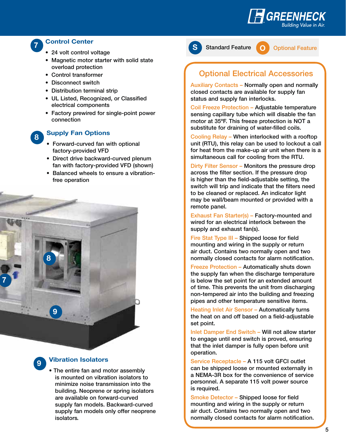

#### **Control Center**

- **24 volt control voltage**
- **Magnetic motor starter with solid state overload protection**
- **Control transformer**
- **Disconnect switch**
- **Distribution terminal strip**
- **UL Listed, Recognized, or Classified electrical components**
- **Factory prewired for single-point power connection**

## **8**

**7**

#### **Supply Fan Options**

- **Forward-curved fan with optional factory-provided VFD**
- **Direct drive backward-curved plenum fan with factory-provided VFD (shown)**
- **Balanced wheels to ensure a vibrationfree operation**



**S Standard Feature**

**O Optional Feature**

## **Optional Electrical Accessories**

**Auxiliary Contacts – Normally open and normally closed contacts are available for supply fan status and supply fan interlocks.**

**Coil Freeze Protection – Adjustable temperature sensing capillary tube which will disable the fan motor at 35ºF. This freeze protection is NOT a substitute for draining of water-filled coils.**

**Cooling Relay – When interlocked with a rooftop unit (RTU), this relay can be used to lockout a call for heat from the make-up air unit when there is a simultaneous call for cooling from the RTU.**

**Dirty Filter Sensor – Monitors the pressure drop across the filter section. If the pressure drop is higher than the field-adjustable setting, the switch will trip and indicate that the filters need to be cleaned or replaced. An indicator light may be wall/beam mounted or provided with a remote panel.**

**Exhaust Fan Starter(s) – Factory-mounted and wired for an electrical interlock between the supply and exhaust fan(s).**

**Fire Stat Type III – Shipped loose for field mounting and wiring in the supply or return air duct. Contains two normally open and two normally closed contacts for alarm notification.**

**Freeze Protection – Automatically shuts down the supply fan when the discharge temperature is below the set point for an extended amount of time. This prevents the unit from discharging non-tempered air into the building and freezing pipes and other temperature sensitive items.** 

**Heating Inlet Air Sensor – Automatically turns the heat on and off based on a field-adjustable set point.**

**Inlet Damper End Switch – Will not allow starter to engage until end switch is proved, ensuring that the inlet damper is fully open before unit operation.**

**Service Receptacle – A 115 volt GFCI outlet can be shipped loose or mounted externally in a NEMA-3R box for the convenience of service personnel. A separate 115 volt power source is required.**

**Smoke Detector – Shipped loose for field mounting and wiring in the supply or return air duct. Contains two normally open and two normally closed contacts for alarm notification.**

**Vibration Isolators**

**9**

**7**

**9**

**8**

**• The entire fan and motor assembly is mounted on vibration isolators to minimize noise transmission into the building. Neoprene or spring isolators are available on forward-curved supply fan models. Backward-curved supply fan models only offer neoprene isolators** *.*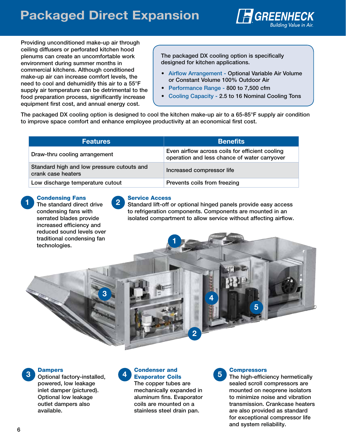

**Providing unconditioned make-up air through ceiling diffusers or perforated kitchen hood plenums can create an uncomfortable work environment during summer months in commercial kitchens. Although conditioned make-up air can increase comfort levels, the need to cool and dehumidify this air to a 55°F supply air temperature can be detrimental to the food preparation process, significantly increase equipment first cost, and annual energy cost.** 

**The packaged DX cooling option is specifically designed for kitchen applications.** 

- **Airflow Arrangement Optional Variable Air Volume or Constant Volume 100% Outdoor Air**
- **Performance Range 800 to 7,500 cfm**
- **Cooling Capacity 2.5 to 16 Nominal Cooling Tons**

**The packaged DX cooling option is designed to cool the kitchen make-up air to a 65-85°F supply air condition to improve space comfort and enhance employee productivity at an economical first cost.**

| <b>Features</b>                                                  | <b>Benefits</b>                                                                                 |
|------------------------------------------------------------------|-------------------------------------------------------------------------------------------------|
| Draw-thru cooling arrangement                                    | Even airflow across coils for efficient cooling<br>operation and less chance of water carryover |
| Standard high and low pressure cutouts and<br>crank case heaters | Increased compressor life                                                                       |
| Low discharge temperature cutout                                 | Prevents coils from freezing                                                                    |

**1**

#### **Condensing Fans**

**The standard direct drive 1 2 condensing fans with serrated blades provide increased efficiency and reduced sound levels over traditional condensing fan technologies.**

**3**

#### **Service Access**

**Standard lift-off or optional hinged panels provide easy access to refrigeration components. Components are mounted in an isolated compartment to allow service without affecting airflow.**

**4**

#### **Dampers**

**powered, low leakage inlet damper (pictured). Optional low leakage outlet dampers also available.**

#### **3 Optional factory-installed, 4 Evaporator Coils 5 Condenser and Evaporator Coils**

**The copper tubes are mechanically expanded in aluminum fins. Evaporator coils are mounted on a stainless steel drain pan.**

**2**



## **The high-efficiency hermetically**

**5**

**sealed scroll compressors are mounted on neoprene isolators to minimize noise and vibration transmission. Crankcase heaters are also provided as standard for exceptional compressor life and system reliability.**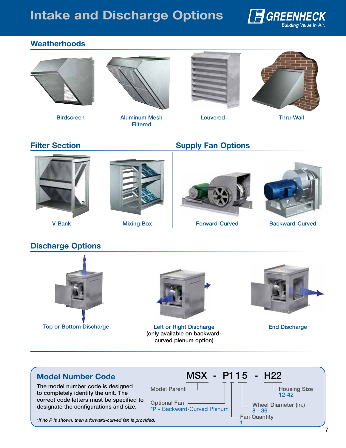# **Intake and Discharge Options**



## **Weatherhoods**





**Birdscreen Louvered Aluminum Mesh Filtered**





**Thru-Wall**

## **Filter Section**



**V-Bank Mixing Box**

## **Supply Fan Options**





**Forward-Curved Backward-Curved**

## **Discharge Options**





**Top or Bottom Discharge Left or Right Discharge End Discharge (only available on backwardcurved plenum option)**